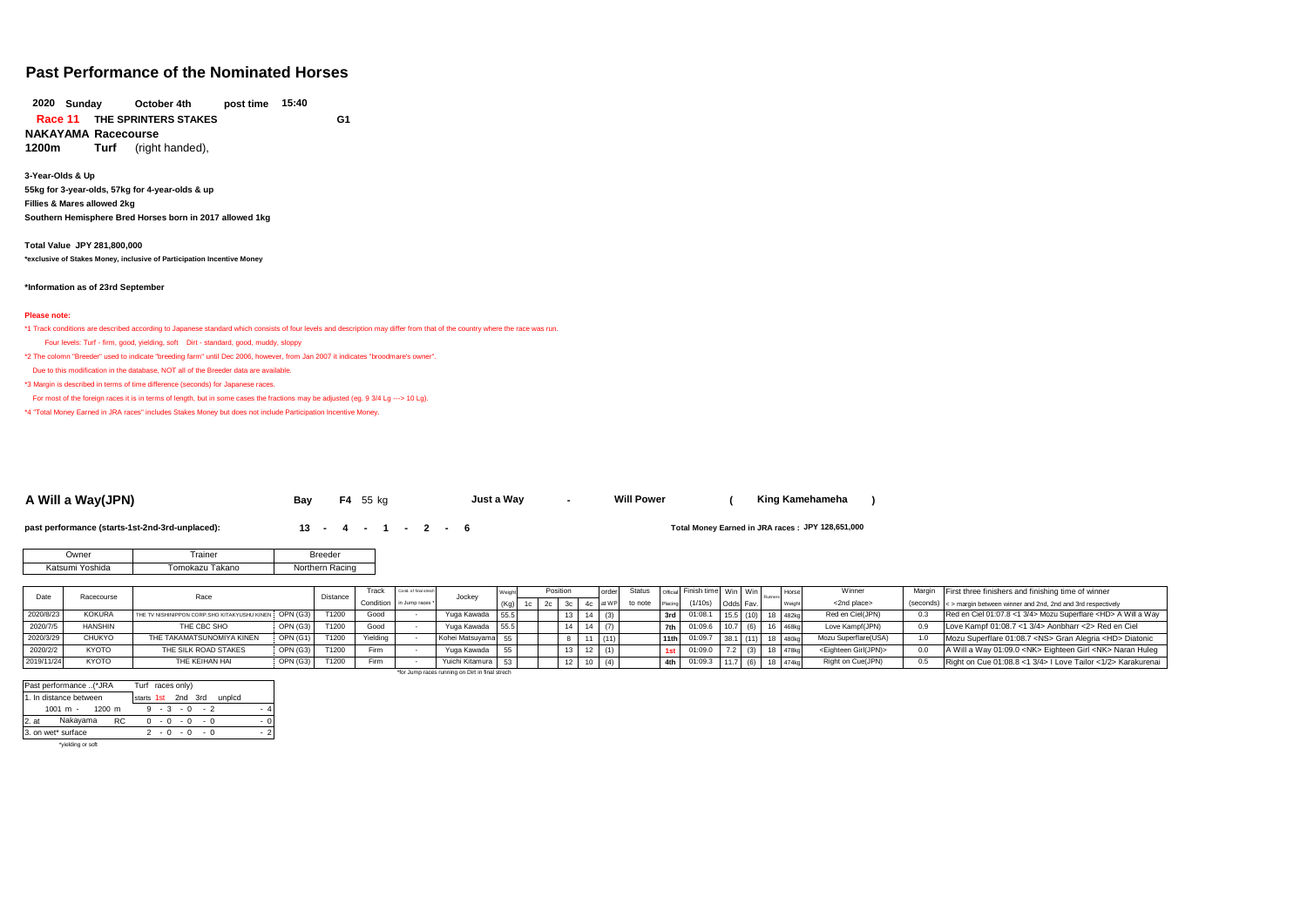# **Past Performance of the Nominated Horses**

**October 4th THE SPRINTERS STAKES G1 Race 11 NAKAYAMA Racecourse 15:40 2020**

**Turf** (right handed),

**3-Year-Olds & Up 55kg for 3-year-olds, 57kg for 4-year-olds & up Fillies & Mares allowed 2kg Southern Hemisphere Bred Horses born in 2017 allowed 1kg**

**Total Value JPY 281,800,000 \*exclusive of Stakes Money, inclusive of Participation Incentive Money**

#### **\*Information as of 23rd September**

#### **Please note:**

\*1 Track conditions are described according to Japanese standard which consists of four levels and description may differ from that of the country where the race was run.

Four levels: Turf - firm, good, yielding, soft Dirt - standard, good, muddy, sloppy

\*2 The colomn "Breeder" used to indicate "breeding farm" until Dec 2006, however, from Jan 2007 it indicates "broodmare's owner".

Due to this modification in the database, NOT all of the Breeder data are available.

\*3 Margin is described in terms of time difference (seconds) for Japanese races.

For most of the foreign races it is in terms of length, but in some cases the fractions may be adjusted (eg. 9 3/4 Lg ---> 10 Lg).

\*4 "Total Money Earned in JRA races" includes Stakes Money but does not include Participation Incentive Money.

| A Will a Wav(JPN) | Bav | ko<br>$-4$ | . Wav<br>Just a |  | <b>Will Power</b> |  | Kina<br>Kamehameha |  |
|-------------------|-----|------------|-----------------|--|-------------------|--|--------------------|--|
|-------------------|-----|------------|-----------------|--|-------------------|--|--------------------|--|

**past performance (starts-1st-2nd-3rd-unplaced): <b>13 - 4 - 1 - 2 - 6** 

Total Money Earned in JRA races: JPY 128,651,000

| <b>Jwner</b>    | rainer          | <b>Breeder</b> |
|-----------------|-----------------|----------------|
| Katsumi Yoshida | Γomokazu Takano | thern Racing   |

|            | Race<br>Racecourse |                                                        | Distance | Track | Cond. of final strech   | Jockey |                                                 |    |                 | Status |         | Official Finish time Win Win |              |           | <b>Horse</b><br>Runners | Winner             | Margin First three finishers and finishing time of winner |                                                                       |
|------------|--------------------|--------------------------------------------------------|----------|-------|-------------------------|--------|-------------------------------------------------|----|-----------------|--------|---------|------------------------------|--------------|-----------|-------------------------|--------------------|-----------------------------------------------------------|-----------------------------------------------------------------------|
|            |                    |                                                        |          |       | Condition in Jump races |        |                                                 | 1c |                 |        | to note | Placing                      | (1/10s)      | Odds Fav. |                         |                    | <2nd place>                                               | (seconds) < > margin between winner and 2nd, 2nd and 3rd respectively |
| 2020/8/23  | <b>KOKURA</b>      | THE TV NISHINIPPON CORP. SHO KITAKYUSHU KINEN OPN (G3) |          | T1200 | Good                    |        | Yuga Kawada 55.5                                |    | 13 <sup>1</sup> | (3)    |         | 3rd I                        | 01:08.1      |           |                         | 15.5 (10) 18 482kg | Red en Ciel(JPN)                                          | Red en Ciel 01:07.8 <1 3/4> Mozu Superflare <hd> A Will a Way</hd>    |
| 2020/7/5   | <b>HANSHIN</b>     | THE CBC SHO                                            | OPN (G3) | T1200 | Good                    |        | Yuga Kawada 55.5                                |    | 14              |        |         |                              | 101:09.6     | 110.7     | (6)                     | 16 468kg           | Love Kampf(JPN)                                           | Love Kampf 01:08.7 <1 3/4> Aonbharr <2> Red en Ciel                   |
| 2020/3/29  | <b>CHUKYO</b>      | THE TAKAMATSUNOMIYA KINEN                              | OPN(G1)  | T1200 | Yielding                |        | Kohei Matsuvama                                 |    |                 | (11)   |         |                              | 11th 01:09.7 |           |                         | 38.1 (11) 18 480kg | Mozu Superflare(USA)                                      | Mozu Superflare 01:08.7 <ns> Gran Alegria <hd> Diatonic</hd></ns>     |
| 2020/2/2   | <b>KYOTO</b>       | THE SILK ROAD STAKES                                   | OPN(G3)  | T1200 | Firm                    |        | Yuga Kawada                                     |    |                 |        |         |                              | 01:09.0      |           | (3)                     | A7Rk               | <eighteen girl(jpn)=""></eighteen>                        | A Will a Way 01:09.0 <nk> Eighteen Girl <nk> Naran Huleg</nk></nk>    |
| 2019/11/24 | <b>KYOTO</b>       | THE KEIHAN HAI                                         | OPN(G3)  | T1200 | Firm                    |        | Yuichi Kitamura 53                              |    |                 |        |         |                              | 4th 01:09.3  | 11.7      | (6)                     | A74k               | Right on Cue(JPN)                                         | Right on Cue 01:08.8 <1 3/4>   Love Tailor <1/2> Karakurenai          |
|            |                    |                                                        |          |       |                         |        | *for Jump races running on Dirt in final strech |    |                 |        |         |                              |              |           |                         |                    |                                                           |                                                                       |

|         | Past performance (*JRA            |           |                    |     | Turf races only) |     |        |  |
|---------|-----------------------------------|-----------|--------------------|-----|------------------|-----|--------|--|
|         | 1. In distance between            |           | starts 1st 2nd 3rd |     |                  |     | unplcd |  |
|         | $1001 \text{ m} - 1200 \text{ m}$ |           |                    |     | $-3 - 0 - 2$     |     |        |  |
| $2.$ at | Nakayama                          | <b>RC</b> |                    |     | $0 - 0 - 0$      | - 0 |        |  |
|         | 3. on wet* surface                |           |                    | 2-0 | $-0$             | - 0 |        |  |
|         | *yielding or soft                 |           |                    |     |                  |     |        |  |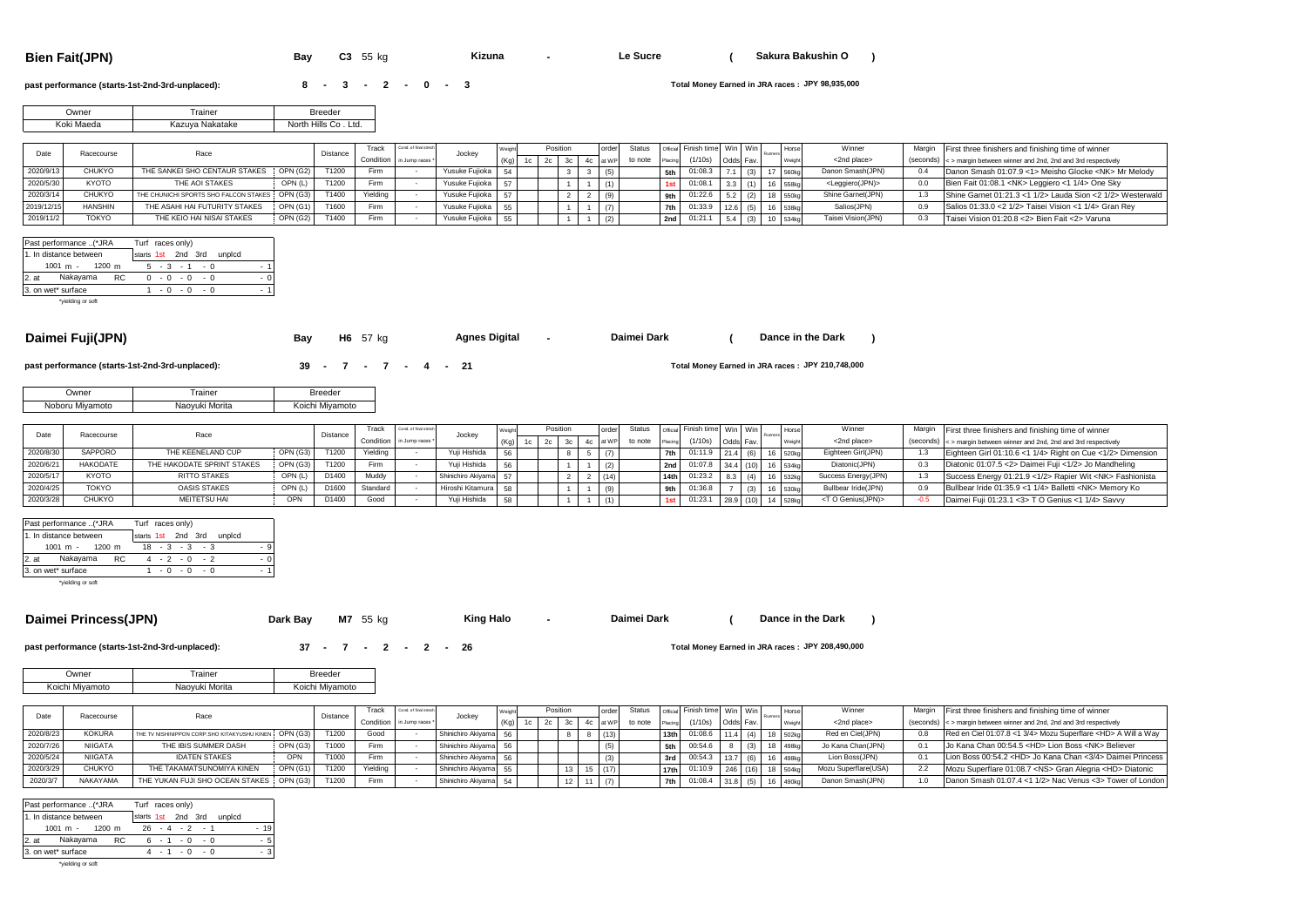**Bien Fait(JPN) Bay C3** 55 kg **- ( ) Kizuna Le Sucre Sakura Bakushin O**

### **past performance (starts-1st-2nd-3rd-unplaced): <br>
<b>8 -** 3 **-** 2 **-** 0 **-** 3

**JPY 98,935,000**

| Owner      | rainer          | Breeder                    |
|------------|-----------------|----------------------------|
| Koki Maeda | Kazuya Nakatake | _td.<br>North Hills<br>Co. |

| Date       | Racecourse     |                                                |          | Distance | Track       | Cond. of final street     | Jocke             |            | Position | order | Status  |     | Official Finish time Win Win |          |             | Winner                          | Margin First three finishers and finishing time of winner                     |
|------------|----------------|------------------------------------------------|----------|----------|-------------|---------------------------|-------------------|------------|----------|-------|---------|-----|------------------------------|----------|-------------|---------------------------------|-------------------------------------------------------------------------------|
|            |                |                                                |          |          |             | Condition in Jump races * |                   | $(K0)$ 1 c |          |       | to note |     | (1/10s)                      | Odds Fav |             | <2nd place>                     | $(s$ econds) $\leq$ > margin between winner and 2nd. 2nd and 3rd respectively |
|            | <b>CHUKYO</b>  | THE SANKEI SHO CENTAUR STAKES                  | OPN (G2) | T1200    | Firm        |                           | Yusuke Fuijoka 54 |            |          |       |         | 5th | 01:08.3                      |          |             | Danon Smash(JPN)                | Danon Smash 01:07.9 <1> Meisho Glocke <nk> Mr Melody</nk>                     |
| 2020/5/30  | <b>KYOTO</b>   | THE AOI STAKES                                 | OPN (L)  | T1200    | Firm        |                           | Yusuke Fuijoka 57 |            |          |       |         |     | 01:08.                       |          | <b>SERL</b> | <leggiero(jpn)></leggiero(jpn)> | Bien Fait 01:08.1 <nk> Leggiero &lt;1 1/4&gt; One Sky</nk>                    |
| 2020/3/14  | CHUKYO         | THE CHUNICHI SPORTS SHO FALCON STAKES OPN (G3) |          | T1400    | Yielding    |                           | Yusuke Fuijoka    |            |          |       |         | 9th | 01:22.6                      |          | 8 550kg     | Shine Garnet(JPN)               | Shine Garnet 01:21.3 <1 1/2> Lauda Sion <2 1/2> Westerwald                    |
| 2019/12/15 | <b>HANSHIN</b> | THE ASAHI HAI FUTURITY STAKES                  | OPN (G1) | T1600    | <b>Firm</b> |                           | Yusuke Fujioka 55 |            |          |       |         |     | 7th 01:33.9                  |          | 16 538kg    | Salios(JPN)                     | Salios 01:33.0 < 2 1/2> Taisei Vision < 1 1/4> Gran Rev                       |
| 2019/11/2  | <b>TOKYO</b>   | THE KEIO HAI NISAI STAKES                      | OPN (G2) | T1400    | Firm        |                           | Yusuke Fujioka 55 |            |          |       |         |     | 2nd 01:21.1                  |          | $1$ 534kg   | Taisei Vision(JPN)              | Taisei Vision 01:20.8 <2> Bien Fait <2> Varuna                                |

|         | Past performance (*JRA |     | Turf races only)   |     |          |     |                 |     |        |     |
|---------|------------------------|-----|--------------------|-----|----------|-----|-----------------|-----|--------|-----|
|         | 1. In distance between |     | starts 1st 2nd 3rd |     |          |     |                 |     | unplcd |     |
|         | $1001 m - 1200 m$      |     |                    |     |          |     | $5 - 3 - 1 - 0$ |     |        | . 1 |
| $2.$ at | Nakayama               | RC. | $\Omega$           |     | $-0 - 0$ |     | - 0             |     |        | - 0 |
|         | 3. on wet* surface     |     |                    | - 0 |          | - 0 |                 | - 0 |        |     |
|         | *vielding or soft      |     |                    |     |          |     |                 |     |        |     |

### **Daimei Fuji(JPN) Bay H6** 57 kg **- ( ) Agnes Digital Daimei Dark Dance in the Dark**

**past performance (starts-1st-2nd-3rd-unplaced): 39 - 7 - 7 - 4 - 21** 

| Owner           | Frainer        | <b>Breeder</b>  |
|-----------------|----------------|-----------------|
| Noboru Miyamoto | Naoyuki Morita | Koichi Miyamoto |

|           | Racecourse      | Race                       |          | Distance | $r$ rack | Cond. of final stred      | Jocke                 |    | Position |  | Status  |         | official Finish time   Win   Win |           |  | <b>Hors</b> | Winner                      | Margin First three finishers and finishing time of winner             |
|-----------|-----------------|----------------------------|----------|----------|----------|---------------------------|-----------------------|----|----------|--|---------|---------|----------------------------------|-----------|--|-------------|-----------------------------|-----------------------------------------------------------------------|
|           |                 |                            |          |          |          | Condition in Jump races * |                       |    |          |  | to note | Placing | (1/10s)                          | Odds Fav. |  |             | <2nd place>                 | (seconds) < > margin between winner and 2nd, 2nd and 3rd respectively |
| 2020/8/30 | SAPPORO         | THE KEENELAND CUP          | OPN (G3) | T1200    | Yielding |                           | Yuii Hishida          | 56 |          |  |         | 7th I   | 01:11.5                          |           |  | 6 520kg     | Eighteen Girl(JPN)          | Eighteen Girl 01:10.6 <1 1/4> Right on Cue <1/2> Dimension            |
| 2020/6/   | <b>HAKODATE</b> | THE HAKODATE SPRINT STAKES | OPN (G3) | T1200    | Firm     |                           | Yuii Hishida          | 56 |          |  |         | 2nd I   | 01:07.8                          |           |  | 16 534ko    | Diatonic(JPN)               | Diatonic 01:07.5 <2> Daimei Fuji <1/2> Jo Mandheling                  |
| 2020/5/1  | <b>KYOTO</b>    | <b>RITTO STAKES</b>        | OPN (L)  | D1400    | Muddy    |                           | Shinichiro Akivama 57 |    |          |  |         |         | 01:23.2                          |           |  | $-532k$     | Success Energy(JPN)         | Success Energy 01:21.9 <1/2> Rapier Wit <nk> Fashionista</nk>         |
| 2020/4/25 | <b>TOKYO</b>    | <b>OASIS STAKES</b>        | OPN (L)  | D1600    | Standard |                           | Hiroshi Kitamura 58   |    |          |  |         | 9th     | 01:36.c                          |           |  | S 530kg     | Bullbear Iride(JPN)         | Bullbear Iride 01:35.9 <1 1/4> Balletti <nk> Memory Ko</nk>           |
| 2020/3/28 | CHUKYO          | MEITETSU HAI               |          | D1400    | Good     |                           | Yuii Hishida          | 58 |          |  |         |         | 01:23.1                          |           |  | $44$ 528kg  | <t genius(jpn)="" o=""></t> | Daimei Fuji 01:23.1 < 3> T O Genius < 1 1/4> Savvy                    |

|       | Past performance (*JRA            |                    | Turf races only) |  |        |  |
|-------|-----------------------------------|--------------------|------------------|--|--------|--|
|       | 1. In distance between            | starts 1st 2nd 3rd |                  |  | unpicd |  |
|       | $1001 \text{ m} - 1200 \text{ m}$ |                    | $18 - 3 - 3 - 3$ |  |        |  |
| 2. at | Nakayama RC                       |                    | $4 - 2 - 0 - 2$  |  |        |  |
|       | 3. on wet* surface                |                    | $-0 - 0 - 0$     |  |        |  |
|       |                                   |                    |                  |  |        |  |

\*yielding or soft

### **Daimei Princess(JPN) Dark Bay** M7 55 kg **- King Halo** - **Daimei Dark** ( Dance in the Dark )

**King Halo**

**Dance in the Dark** 

**past performance (starts-1st-2nd-3rd-unplaced):**  $\begin{array}{ccccccccc}\n & 37 & -7 & -2 & -2 & -26 \\
\end{array}$ 

Total Money Earned in JRA races: JPY 208,490,000

Total Money Earned in JRA races: JPY 210,748,000

| <b>Jwner</b>    | rainer         | <b>Breeder</b>  |
|-----------------|----------------|-----------------|
| Koichi Miyamoto | Naovuki Morita | Koichi Mivamoto |

|           | Racecourse      | Race                                                   | Distance | Track    | and, of final strect      | Jockey                |      | Position |        | Status  |                 | Official Finish time   Win   Win |           |        | Horse        | Winner               | Margin | First three finishers and finishing time of winner                    |
|-----------|-----------------|--------------------------------------------------------|----------|----------|---------------------------|-----------------------|------|----------|--------|---------|-----------------|----------------------------------|-----------|--------|--------------|----------------------|--------|-----------------------------------------------------------------------|
|           |                 |                                                        |          |          | Condition in Jump races * |                       | (Ka) |          |        | to note |                 | (1/10s)                          | Odds Fav. |        |              | <2nd place>          |        | (seconds) < > margin between winner and 2nd. 2nd and 3rd respectively |
| 2020/8/23 | <b>KOKURA</b>   | THE TV NISHINIPPON CORP. SHO KITAKYUSHU KINEN OPN (G3) | T1200    | Good     |                           | Shinichiro Akivama    | 56   |          |        |         | 13th            | 01:08.6                          | 11.4      | (4)    | 18 502kg     | Red en Ciel(JPN)     |        | Red en Ciel 01:07.8 <1 3/4> Mozu Superflare <hd> A Will a Way</hd>    |
| 2020/7/26 | <b>NIIGATA</b>  | OPN (G3)<br>THE IBIS SUMMER DASH                       | T1000    | Firm     |                           | Shinichiro Akivama    | 56   |          |        |         | 5th             | 00:54.6                          |           |        | 8 498kg      | Jo Kana Chan(JPN)    |        | Jo Kana Chan 00:54.5 <hd> Lion Boss <nk> Believer</nk></hd>           |
| 2020/5/24 | <b>NIIGATA</b>  | <b>IDATEN STAKES</b><br>OPN                            | T1000    | Firm     |                           | Shinichiro Akivama 56 |      |          |        |         | 3rd             | 00:54.3                          | 13.7      |        | (6) 16 498kg | Lion Boss(JPN)       |        | Lion Boss 00:54.2 <hd> Jo Kana Chan &lt;3/4&gt; Daimei Princess</hd>  |
| 2020/3/29 | CHUKYO          | OPN (G1)<br>THE TAKAMATSUNOMIYA KINEN                  | T1200    | Yielding |                           | Shinichiro Akiyama 55 |      |          | 15(17) |         | 17th            | 01:10.9                          | 246       | $(16)$ | 18 504k      | Mozu Superflare(USA) |        | Mozu Superflare 01:08.7 <ns> Gran Alegria <hd> Diatonic</hd></ns>     |
| 2020/3/7  | <b>NAKAYAMA</b> | THE YUKAN FUJI SHO OCEAN STAKES OPN (G3)               | T1200    | Firm     |                           | Shinichiro Akiyama    | 54   |          |        |         | 7 <sub>th</sub> | 01:08.4                          | 31.8      |        | 16 490kc     | Danon Smash(JPN)     |        | Danon Smash 01:07.4 <1 1/2> Nac Venus <3> Tower of London             |

| Past performance (*JRA                  | Turf races only)          |
|-----------------------------------------|---------------------------|
| 1. In distance between                  | starts 1st 2nd 3rd unplcd |
| 1001 m - 1200 m                         | $26 - 4 - 2 - 1$<br>$-19$ |
| Nakayama<br>$2.$ at<br>RC.              | $6 - 1 - 0 - 0$<br>- 5    |
| 3. on wet* surface                      | -3<br>$4 - 1 - 0 - 0$     |
| to dealer the control of the control of |                           |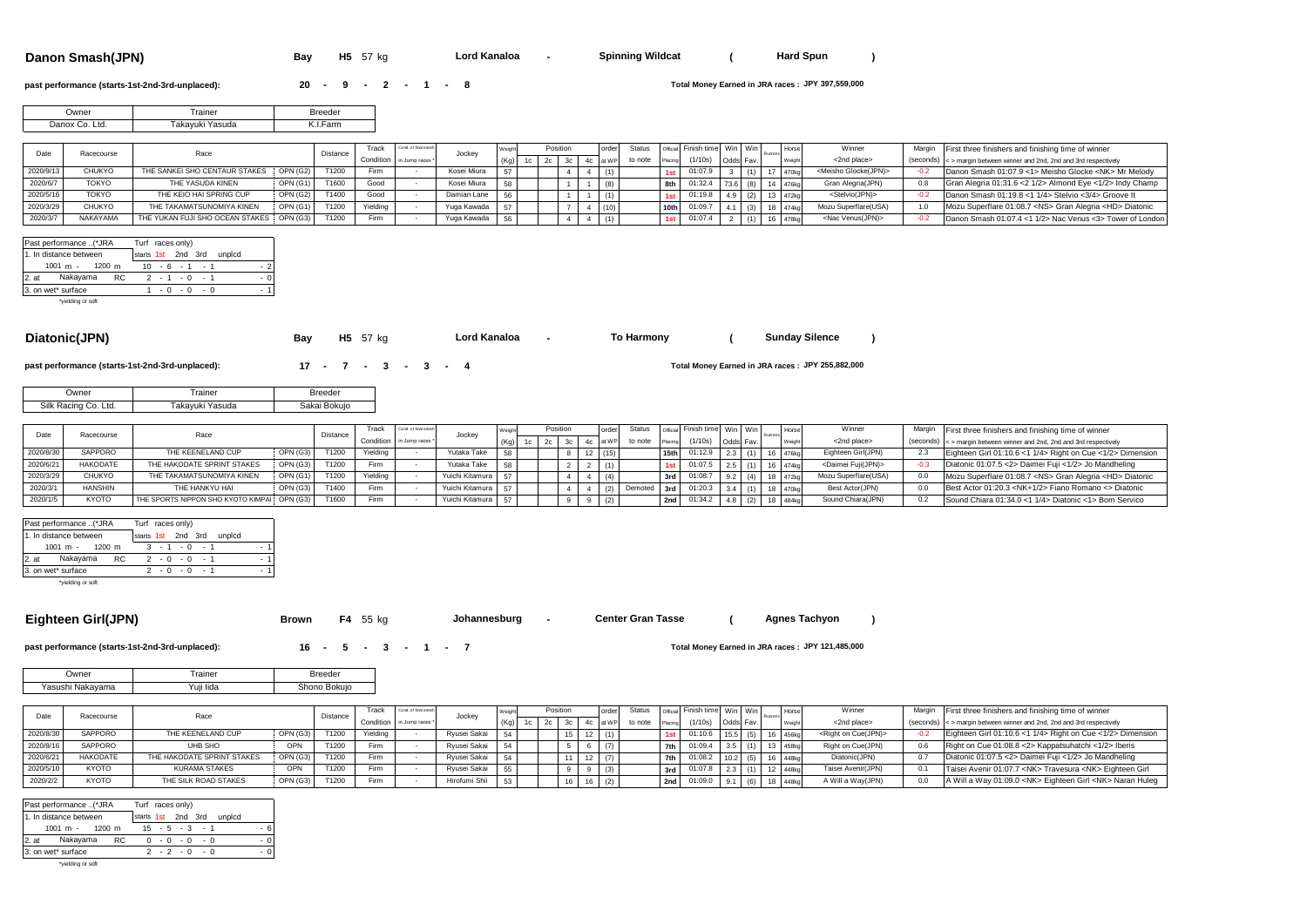#### **Danon Smash(JPN) Bay** H5 57 kg **Lord Kanaloa -** Spinning Wildcat ( Hard Spun )

**Lord Kanaloa Hard Spanning Wildes** 

### **past performance (starts-1st-2nd-3rd-unplaced): <br><b>20 - 9 - 2 - 1 - 8**

**JPY 397,559,000**

**Sunday Silence**

**JPY 255,882,000**

| Jwner          | rainer          | <b>Breeder</b> |
|----------------|-----------------|----------------|
| Danox Co. Ltd. | Takavuki Yasuda | l.Farm         |

|          | Racecourse   | Race                            |                 | Distance | Frack    | Cond. of final stred      | Jocke       |        | Position |  | order | <b>Status</b> |                  | Official Finish time Win Win |  | <b>Hors</b> | Winner                           | Margin First three finishers and finishing time of winner             |
|----------|--------------|---------------------------------|-----------------|----------|----------|---------------------------|-------------|--------|----------|--|-------|---------------|------------------|------------------------------|--|-------------|----------------------------------|-----------------------------------------------------------------------|
|          |              |                                 |                 |          |          | Condition in Jump races * |             |        |          |  |       | to note       | Placing          | (1/10s)                      |  |             | <2nd place>                      | (seconds) < > margin between winner and 2nd, 2nd and 3rd respectively |
| 2020/9/1 | CHUKYO       | THE SANKEI SHO CENTAUR STAKES   | OPN (G2)        | T1200    | Firm     |                           | Kosei Miura | $\sim$ |          |  |       |               |                  | 01:07.                       |  |             | <meisho glocke(jpn)=""></meisho> | Danon Smash 01:07.9 <1> Meisho Glocke <nk> Mr Melody</nk>             |
| 2020/6/7 | <b>TOKYO</b> | THE YASUDA KINEN                | OPN (G1)        | T1600    | Good     |                           | Kosei Miura | 58     |          |  |       |               | 8th              | 01:32.4                      |  | 14.476k     | Gran Alegria(JPN)                | Gran Alegria 01:31.6 < 2 1/2> Almond Eve < 1/2> Indy Champ            |
| 2020/5/1 | <b>TOKYO</b> | THE KEIO HAI SPRING CUP         | <b>OPN (G2)</b> | T1400    | Good     |                           | Damian Lane | 56     |          |  |       |               |                  | 01:19.8                      |  | 13 472kg    | <stelvio(jpn)></stelvio(jpn)>    | Danon Smash 01:19.8 <1 1/4> Stelvio <3/4> Groove It                   |
| 2020/3/2 | CHUKYO       | THE TAKAMATSUNOMIYA KINEN       | OPN (G1)        | T1200    | Yielding |                           | Yuga Kawada |        |          |  |       |               | 10 <sub>th</sub> | 01:09.                       |  |             | Mozu Superflare(USA)             | Mozu Superflare 01:08.7 <ns> Gran Alegria <hd> Diatonic</hd></ns>     |
| 2020/3/  | NAKAYAMA     | THE YUKAN FUJI SHO OCEAN STAKES | OPN (G3)        | T1200    | Firm     |                           | Yuga Kawada | 56     |          |  |       |               |                  | 01:07.4                      |  |             | <nac venus(jpn)=""></nac>        | Danon Smash 01:07.4 <1 1/2> Nac Venus <3> Tower of London             |

| Past performance (*JRA |           | Turf races only)   |  |             |                           |        |     |
|------------------------|-----------|--------------------|--|-------------|---------------------------|--------|-----|
| 1. In distance between |           | starts 1st 2nd 3rd |  |             |                           | unplcd |     |
| $1001 m - 1200 m$      |           |                    |  |             | $10 \div 6 \div 1 \div 1$ |        | - 2 |
| 2. at Nakayama         | <b>RC</b> |                    |  | $2 - 1 - 0$ | $-1$                      |        | - 0 |
| 3. on wet* surface     |           |                    |  |             | $-0 - 0 - 0$              |        | - 1 |
| *violding or soft      |           |                    |  |             |                           |        |     |

\*yielding o

| Diatonic(JPN) |  |  |  |
|---------------|--|--|--|
|               |  |  |  |
|               |  |  |  |

**Diatonic(JPN) Bay H5** 57 kg **- ( ) Lord Kanaloa To Harmony**

**past performance (starts-1st-2nd-3rd-unplaced): <b>17 - 7 - 3 - 3 - 4** 

| Owner                   | . rainer        | <b>Breeder</b> |
|-------------------------|-----------------|----------------|
| Silk Racing Co.<br>Ltd. | Takavuki Yasuda | Sakai Bokuio   |

|           | Racecourse      | Race                                        |          | Distance | <b>Track</b> | Cond. of final street     | Jockey             |                   |           |  |     |         |        | <b>widel Finish time   Win   Win</b> |           | Horse    | Winner                         | Margin | in First three finishers and finishing time of winner                 |
|-----------|-----------------|---------------------------------------------|----------|----------|--------------|---------------------------|--------------------|-------------------|-----------|--|-----|---------|--------|--------------------------------------|-----------|----------|--------------------------------|--------|-----------------------------------------------------------------------|
|           |                 |                                             |          |          |              | Condition in Jump races * |                    | (K <sub>0</sub> ) | $1c$ $2c$ |  |     | to note | Placin |                                      | Odds Fav. |          | <2nd place>                    |        | (seconds) < > margin between winner and 2nd, 2nd and 3rd respectively |
| 2020/8/30 | SAPPORO         | THE KEENELAND CUP                           | OPN (G3) | T1200    | Yielding     |                           | Yutaka Take        |                   |           |  |     |         | 15th   | 01:12.9                              |           | 476kg    | Eighteen Girl(JPN)             |        | Eighteen Girl 01:10.6 <1 1/4> Right on Cue <1/2> Dimension            |
| 2020/6/   | <b>HAKODATE</b> | THE HAKODATE SPRINT STAKES                  | OPN (G3) | T1200    | Firm         |                           | Yutaka Take        |                   |           |  |     |         |        | 01:07.5                              |           | 474kg    | <daimei fuii(jpn)=""></daimei> |        | Diatonic 01:07.5 <2> Daimei Fuji <1/2> Jo Mandheling                  |
| 2020/3/2  | CHUKYO          | THE TAKAMATSUNOMIYA KINEN                   | OPN (G1) | T1200    | Yielding     |                           | Yuichi Kitamura 57 |                   |           |  | (4) |         |        | 01:08.7                              |           | 472kg    | Mozu Superflare(USA)           |        | Mozu Superflare 01:08.7 <ns> Gran Alegria <hd> Diatonic</hd></ns>     |
| 2020/3    | <b>HANSHIN</b>  | THE HANKYU HAI                              | OPN (G3) | T1400    | Firm         |                           | Yuichi Kitamura    |                   |           |  |     | Demotec | 3rd i  | 01:20.3                              |           | 470k     | Best Actor(JPN)                |        | Best Actor 01:20.3 <nk+1 2=""> Fiano Romano &lt;&gt; Diatonic</nk+1>  |
| 2020/1/5  | <b>KYOTO</b>    | THE SPORTS NIPPON SHO KYOTO KIMPAI OPN (G3) |          | T1600    | Firm         |                           | Yuichi Kitamura    |                   |           |  |     |         | 2nd    | 01:34.2                              |           | $484k$ n | Sound Chiara (JPN)             |        | Sound Chiara 01:34.0 <1 1/4> Diatonic <1> Bom Servico                 |

|       | Past performance (*JRA            |    | Turf races only)   |      |                 |  |        |  |
|-------|-----------------------------------|----|--------------------|------|-----------------|--|--------|--|
|       | 1. In distance between            |    | starts 1st 2nd 3rd |      |                 |  | unplcd |  |
|       | $1001 \text{ m} - 1200 \text{ m}$ |    |                    |      | $3 - 1 - 0 - 1$ |  |        |  |
| 2. at | Nakayama                          | RC |                    |      | $2 - 0 - 0 - 1$ |  |        |  |
|       | 3. on wet* surface                |    |                    | $-0$ | $-0$ $-1$       |  |        |  |
|       |                                   |    |                    |      |                 |  |        |  |

\*yielding or soft

### **Eighteen Girl(JPN) Brown** F4 55 kg **-** Johannesburg - Center Gran Tasse ( Agnes Tachyon )

**Johannesburg** -

**Agnes Tachyon**

**past performance (starts-1st-2nd-3rd-unplaced): 16 - 5 - 3 - 1 - 7** 

Total Money Earned in JRA races: JPY 121,485,000

| .)wner           | rainer    | Breeder      |
|------------------|-----------|--------------|
| Yasushi Nakavama | lida<br>ш | Shono Bokuio |

|           | Racecourse      | Race                       |          | Distance | Track                   | Cond, of final strech | Jocke         |    | Position | Status  |                  | Official Finish time Win Win |           | <b>Horse</b>     | Winner                            | Margin | First three finishers and finishing time of winner                    |
|-----------|-----------------|----------------------------|----------|----------|-------------------------|-----------------------|---------------|----|----------|---------|------------------|------------------------------|-----------|------------------|-----------------------------------|--------|-----------------------------------------------------------------------|
|           |                 |                            |          |          | Condition in Jump races |                       |               |    |          | to note |                  | (1/10s)                      | Odds Fav. |                  | <2nd place>                       |        | (seconds) < > margin between winner and 2nd, 2nd and 3rd respectively |
| 2020/8/3  | <b>SAPPORO</b>  | THE KEENELAND CUP          | OPN(G3)  | T1200    | Yielding                |                       | Rvusei Sakai  | 54 |          |         |                  | 01:10.6                      | 15.5      | 16 456k          | <right cue(jpn)="" on=""></right> |        | Eighteen Girl 01:10.6 <1 1/4> Right on Cue <1/2> Dimension            |
| 2020/8/1  | SAPPORO         | UHB SHO                    | OPN      | T1200    | <b>Firm</b>             |                       | Rvusei Sakai  | 54 |          |         | 7th I            | 01:09.4                      | 3.5       | 3 458kg          | Right on Cue(JPN)                 |        | Right on Cue 01:08.8 <2> Kappatsuhatchi <1/2> Iberis                  |
| 2020/6/2  | <b>HAKODATE</b> | THE HAKODATE SPRINT STAKES | OPN (G3) | T1200    | Firm                    |                       | Rvusei Sakai  | 54 |          |         | 7th I            | 01:08.2                      | 10.2      | 16 448kg         | Diatonic(JPN)                     |        | Diatonic 01:07.5 <2> Daimei Fuji <1/2> Jo Mandheling                  |
| 2020/5/10 | KYOTO           | <b>KURAMA STAKES</b>       | OPN      | T1200    | Firm                    |                       | Ryusei Sakai  | 55 |          |         |                  | 01:07.8                      |           | 448k             | Taisei Avenir(JPN)                | 0.7    | Taisei Avenir 01:07.7 <nk> Travesura <nk> Eighteen Girl</nk></nk>     |
| 2020/2/2  | <b>KYOTO</b>    | THE SILK ROAD STAKES       | OPN (G3) | T1200    | Firm                    |                       | Hirofumi Shii | 53 |          |         | 2nd <sub>l</sub> | 01:09.0                      |           | $^{\circ}$ 448kg | A Will a Wav(JPN)                 |        | A Will a Way 01:09.0 <nk> Eighteen Girl <nk> Naran Huleg</nk></nk>    |

| Past performance (*JRA            | Turf races only)          |     |
|-----------------------------------|---------------------------|-----|
| 1. In distance between            | starts 1st 2nd 3rd unplcd |     |
| $1001 \text{ m} - 1200 \text{ m}$ | $15 - 5 - 3 - 1$          | - 6 |
| Nakayama<br>$2.$ at<br>RC.        | $0 - 0 - 0 - 0$           | - 0 |
| 3. on wet* surface                | $2 - 2 - 0 - 0$           | - 0 |
|                                   |                           |     |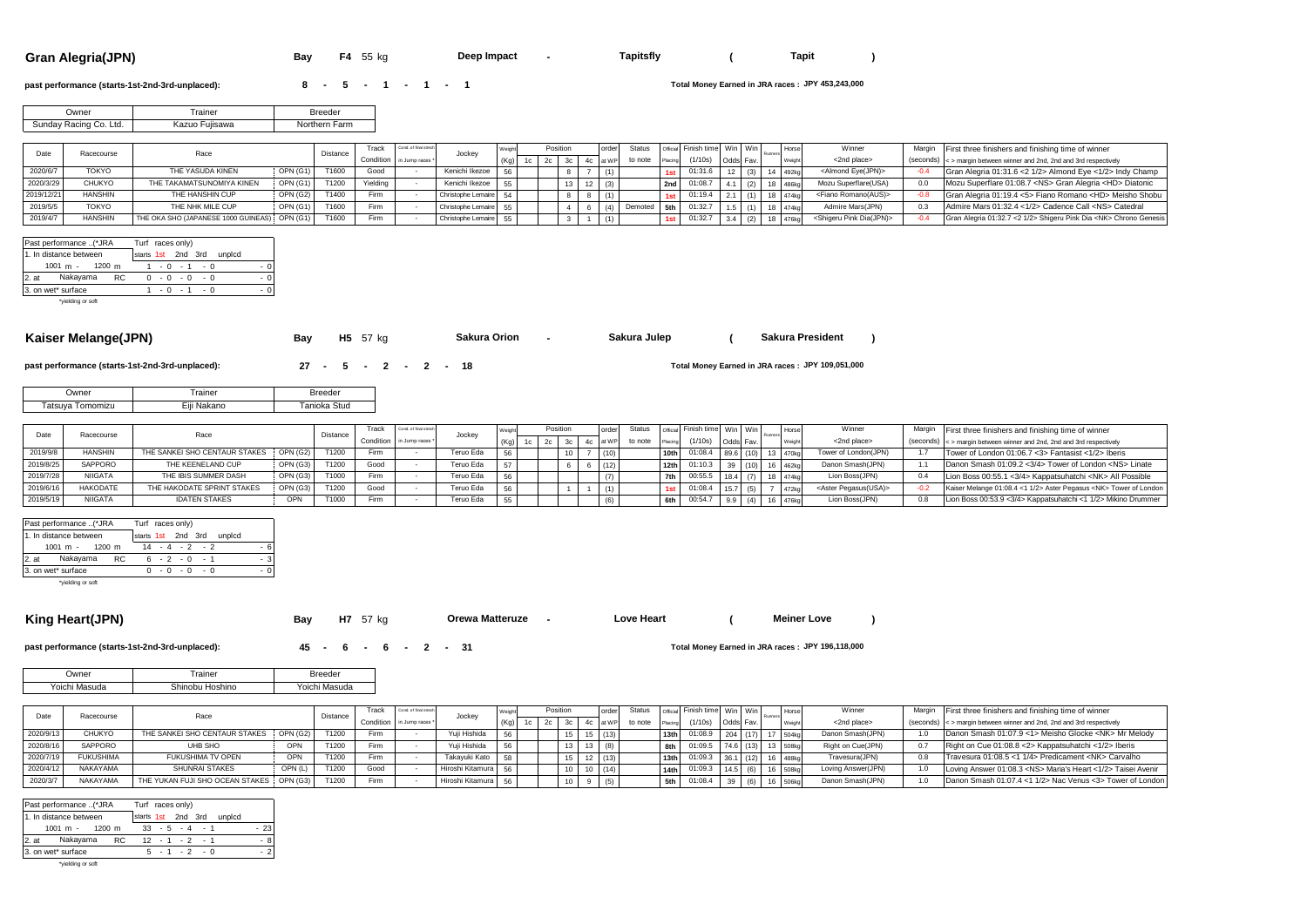**Gran Alegria(JPN) Bay F4** 55 kg **Deep Impact - Tapitsfly** ( Tapit )

**Deep Impact Table** 

#### **past performance (starts-1st-2nd-3rd-unplaced): <br>
<b>8 - 5 - 1 - 1 1**

**JPY 453,243,000**

**Sakura President**

**JPY 109,051,000**

| <b>Jwner</b>           | rainer            | <b>Breeder</b> |
|------------------------|-------------------|----------------|
| Sunday Racing Co. Ltd. | Fuijsawa<br>Kazuo | Northern Farm  |

| Date       | Racecourse     | Race                                         |                 | Distance | Track    | Cond. of final strech     | Jocke <sup>v</sup> |      | Position |  | order    | Status  |         | official Finish time   Win   Win |                                  |  | Horse             | Winner                                  | Margin First three finishers and finishing time of winner                     |
|------------|----------------|----------------------------------------------|-----------------|----------|----------|---------------------------|--------------------|------|----------|--|----------|---------|---------|----------------------------------|----------------------------------|--|-------------------|-----------------------------------------|-------------------------------------------------------------------------------|
|            |                |                                              |                 |          |          | Condition in Jump races * |                    |      |          |  | 4c at WP | to note | Placing | (1/10s)                          | $O$ dds $\overline{\phantom{a}}$ |  | Weight            | <2nd place>                             | $(s$ econds) $\leq$ > margin between winner and 2nd, 2nd and 3rd respectively |
| 2020/6/7   | <b>TOKYO</b>   | THE YASUDA KINEN                             | OPN(G1)         | T1600    | Good     |                           | Kenichi Ikezoe     | 56   |          |  |          |         |         | 01:31.6                          |                                  |  | 492k <sub>0</sub> | <almond eye(jpn)=""></almond>           | Gran Alegria 01:31.6 < 2 1/2> Almond Eve < 1/2> Indy Champ                    |
| 2020/3/29  | <b>CHUKYO</b>  | THE TAKAMATSUNOMIYA KINEN                    | OPN (G1)        | T1200    | Yielding |                           | Kenichi Ikezoe     | 55   |          |  |          |         |         | 2nd 01:08.7                      |                                  |  | $18 - 486kq$      | Mozu Superflare(USA)                    | Mozu Superflare 01:08.7 <ns> Gran Alegria <hd> Diatonic</hd></ns>             |
| 2019/12/21 | <b>HANSHIN</b> | THE HANSHIN CUP                              | <b>OPN (G2)</b> | T1400    | Firm     |                           | Christophe Lemaire | - 54 |          |  |          |         | 1st     | 01:19.4                          |                                  |  | 474ko             | <fiano romano(aus)=""></fiano>          | Gran Alegria 01:19.4 <5> Fiano Romano <hd> Meisho Shobu</hd>                  |
| 2019/5/5   | TOKYO          | THE NHK MILE CUP                             | OPN(G1)         | T1600    | Firm     |                           | Christophe Lemaire | 55   |          |  |          | Demoted | 5th     | 01:32.7                          |                                  |  | 18 474kg          | Admire Mars(JPN)                        | Admire Mars 01:32.4 <1/2> Cadence Call <ns> Catedral</ns>                     |
| 2019/4/7   | <b>HANSHIN</b> | THE OKA SHO (JAPANESE 1000 GUINEAS) OPN (G1) |                 | T1600    | Firm     |                           | Christophe Lemaire | 55   |          |  |          |         |         | 01:32.7                          | 3.4                              |  | 476kg             | <shigeru dia(jpn)="" pink=""></shigeru> | Gran Alegria 01:32.7 < 2 1/2> Shigeru Pink Dia <nk> Chrono Genesis</nk>       |

|      | Past performance (*JRA |    | Turf races only)   |                |      |  |     |        |          |
|------|------------------------|----|--------------------|----------------|------|--|-----|--------|----------|
|      | 1. In distance between |    | starts 1st 2nd 3rd |                |      |  |     | unplcd |          |
|      | $1001 m - 1200 m$      |    |                    | $-0 - 1$       |      |  | - 0 |        | - 0      |
| 2.at | Nakayama               | RC | <sup>0</sup>       | $-0$           | $-0$ |  | - 0 |        | $\Omega$ |
|      | 3. on wet* surface     |    |                    | $-0$ $-1$ $-0$ |      |  |     |        | $\Omega$ |
|      | *yielding or soft      |    |                    |                |      |  |     |        |          |
|      |                        |    |                    |                |      |  |     |        |          |

# Kaiser Melange(JPN) **Bay** H5 57 kg **-** Sakura Orion - Sakura Julep ( Sakura President )

| past performance (starts-1st-2nd-3rd-unplaced): | 27 - 5 - 2 - 2 - 18 |
|-------------------------------------------------|---------------------|

**Sakura Orion**

| Jwner               | rainer      | <b>Breeder</b> |
|---------------------|-------------|----------------|
| Tatsuva<br>Tomomizu | Eiii Nakano | Tanioka Stud   |

|           | Racecourse      | Race                          |                 | Distance | Track     | Cond. of final street |                       |     | Position |  | Status  |                  | Finish time   Win   Win ! |  | Hors     | Winner                          | Margin First three finishers and finishing time of winner                                 |
|-----------|-----------------|-------------------------------|-----------------|----------|-----------|-----------------------|-----------------------|-----|----------|--|---------|------------------|---------------------------|--|----------|---------------------------------|-------------------------------------------------------------------------------------------|
|           |                 |                               |                 |          | Condition | in Jump races *       | Jocke                 |     |          |  | to note |                  | (1/10s)                   |  |          | <2nd place>                     | $\left($ seconds) $\right $ < $>$ margin between winner and 2nd. 2nd and 3rd respectively |
| 2019/9/8  | <b>HANSHI</b>   | THE SANKEI SHO CENTAUR STAKES | OPN (G2)        | T1200    | Firm      |                       | eruo Eda              | 56  |          |  |         |                  | 01:08.4                   |  | 13 470ko | Tower of London(JPN)            | Tower of London 01:06.7 <3> Fantasist <1/2> Iberis                                        |
| 2019/8/25 | SAPPORO         | THE KEENELAND CUP             | <b>OPN (G3)</b> | T1200    | Good      |                       | eruo Eda              | EZ  |          |  |         | 12 <sub>th</sub> | 01:10.3                   |  | 16 462kg | Danon Smash(JPN)                | Danon Smash 01:09.2 <3/4> Tower of London <ns> Linate</ns>                                |
| 2019/7/28 | <b>NIIGATA</b>  | THE IBIS SUMMER DASH          | OPN (G3)        | T1000    | Firm      |                       | <b>Teruo Eda</b>      | 56  |          |  |         |                  | 00:55.                    |  | 18 474kc | Lion Boss(JPN)                  | Lion Boss 00:55.1 <3/4> Kappatsuhatchi <nk> All Possible</nk>                             |
|           | <b>HAKODATE</b> | THE HAKODATE SPRINT STAKES    | OPN (G3)        | T1200    | Good      |                       | Teruo Eda             | EC. |          |  |         |                  | 01:08.                    |  |          | <aster pegasus(usa)=""></aster> | Kaiser Melange 01:08.4 <1 1/2> Aster Pegasus <nk> Tower of London</nk>                    |
|           | <b>NIIGATA</b>  | <b>IDATEN STAKES</b>          |                 | T1000    | Firm      |                       | <sup>-</sup> eruo Eda | 55  |          |  |         | 6th              | 00:54.7                   |  |          | Lion Boss(JPN)                  | Lion Boss 00:53.9 <3/4> Kappatsuhatchi <1 1/2> Mikino Drummer                             |

**Sakura Julep**

|      | Past performance (*JRA            |  |                    | Turf races only) |  |  |                  |  |  |
|------|-----------------------------------|--|--------------------|------------------|--|--|------------------|--|--|
|      | 1. In distance between            |  | starts 1st 2nd 3rd |                  |  |  | unplcd           |  |  |
|      | $1001 \text{ m} - 1200 \text{ m}$ |  |                    |                  |  |  | $14 - 4 - 2 - 2$ |  |  |
| 2.at | Nakayama                          |  | RC.                |                  |  |  | $6 - 2 - 0 - 1$  |  |  |
|      | 3. on wet* surface                |  |                    |                  |  |  | $-0 - 0 - 0$     |  |  |
|      | the contract of the contract of   |  |                    |                  |  |  |                  |  |  |

\*yielding or soft

#### **King Heart(JPN) Bay** H7 57 kg **Crewa Matteruze -** Love Heart (Meiner Love )

**Orewa Matteruze Leart** 

**Meiner Love**

**past performance (starts-1st-2nd-3rd-unplaced): <br>
<b>45 -** 6 **-** 6 **-** 2 **-** 31

Total Money Earned in JRA races: JPY 196,118,000

| Jwner   | rainer  | Breeder            |
|---------|---------|--------------------|
| Yoichi. | Hoshino | Masuda             |
| Masuda  | יר      | roich <sup>i</sup> |

|           | Racecourse       | Race                                     |          | Distance | Track                    | ond, of final strech | Jocke <sup>®</sup> |      | Position |        | Status  |                  | Official Finish time Win Win |            | <b>Horse</b><br>Runner | Winner             | Margin | First three finishers and finishing time of winner                      |
|-----------|------------------|------------------------------------------|----------|----------|--------------------------|----------------------|--------------------|------|----------|--------|---------|------------------|------------------------------|------------|------------------------|--------------------|--------|-------------------------------------------------------------------------|
|           |                  |                                          |          |          | Condition in Jump races* |                      |                    | (Kg) |          |        | *∩ note |                  | (1/10s)                      | Odds Fav.  |                        | <2nd place>        |        | (seconds) < > margin between winner and 2nd. 2nd and 3rd respectively   |
| 2020/9/13 | <b>CHUKYO</b>    | THE SANKEI SHO CENTAUR STAKES            | OPN (G2) |          | Firm                     |                      | Yuii Hishida       | 56   |          |        |         | 13 <sub>th</sub> | 01:08.9                      | $204$ (17) | <b>S04k</b>            | Danon Smash(JPN)   |        | Danon Smash 01:07.9 <1> Meisho Glocke <nk> Mr Melody</nk>               |
| 2020/8/1  | SAPPORO          | UHB SHO                                  | OPN'     | T1200    | Firm                     |                      | Yuii Hishida       | 56   |          |        |         |                  | $01:09.5$ 74.6 (13)          |            | 3 508kg                | Right on Cue(JPN)  | 0.7    | Right on Cue 01:08.8 <2> Kappatsuhatchi <1/2> Iberis                    |
| 2020/7/19 | <b>FUKUSHIMA</b> | FUKUSHIMA TV OPEN                        |          | T1200    | Firm                     |                      | Takavuki Kato      | 58   |          |        |         | 13 <sub>th</sub> | $01:09.3$ 36.1 (12)          |            | 488k                   | Travesura(JPN)     | 0.8    | Travesura 01:08.5 <1 1/4> Predicament <nk> Carvalho</nk>                |
| 2020/4/1  | NAKAYAMA         | SHUNRAI STAKES                           | OPN(L)   | T1200    | Good                     |                      | Hiroshi Kitamura   | 56   |          | 10(14) |         | 14th             | 01:09.3                      | 14.5       | 508k                   | Loving Answer(JPN) |        | Loving Answer 01:08.3 <ns> Maria's Heart &lt;1/2&gt; Taisei Avenir</ns> |
| 2020/3/   | NAKAYAMA         | THE YUKAN FUJI SHO OCEAN STAKES OPN (G3) |          | T1200    | Firm                     |                      | Hiroshi Kitamura   | 56   |          |        |         | 5th              |                              |            | 506k                   | Danon Smash(JPN)   |        | Danon Smash 01:07.4 <1 1/2> Nac Venus <3> Tower of London               |

|         | Past performance (*JRA             |  |     | Turf races only) |  |  |                           |  |       |
|---------|------------------------------------|--|-----|------------------|--|--|---------------------------|--|-------|
|         | 1. In distance between             |  |     |                  |  |  | starts 1st 2nd 3rd unplcd |  |       |
|         | $1001 m - 1200 m$                  |  |     |                  |  |  | $33 - 5 - 4 - 1$          |  | $-23$ |
| $2.$ at | Nakayama                           |  | RC. |                  |  |  | $12 - 1 - 2 - 1$          |  | - 8   |
|         | 3. on wet* surface                 |  |     |                  |  |  | $-1$ $-2$ $-0$            |  | . 2   |
|         | And a fact that the company of the |  |     |                  |  |  |                           |  |       |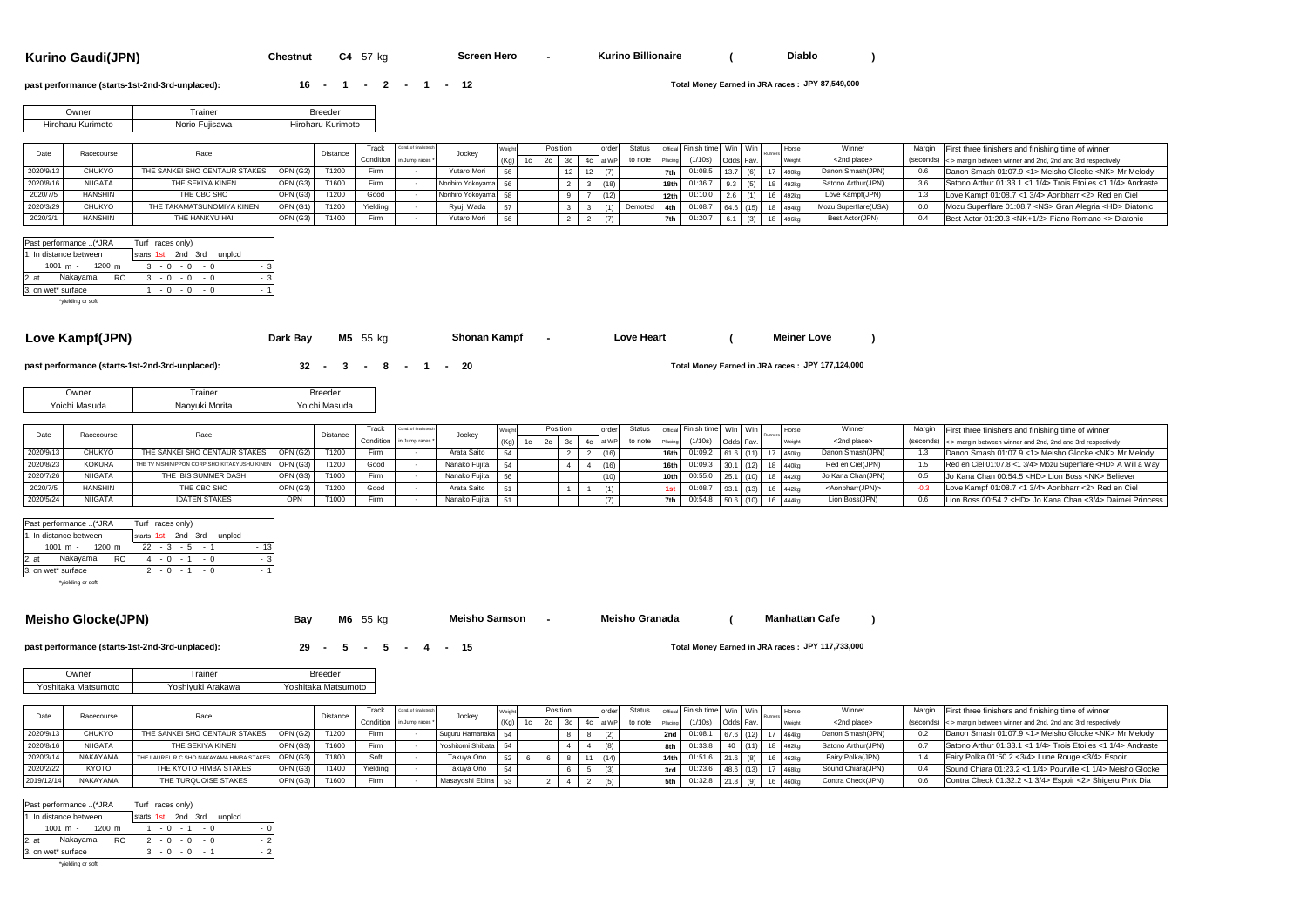**Kurino Gaudi(JPN) Chestnut C4** 57 kg **- ( )**

**Screen Hero King** 

**Diablo**

#### **past performance (starts-1st-2nd-3rd-unplaced): <br>
<b>16 - 1 - 2 - 1 - 12**

**JPY 87,549,000**

| <b>Jwner</b>      | rainer         | <b>Breeder</b>    |
|-------------------|----------------|-------------------|
| Hiroharu Kurimoto | Norio Fuiisawa | Hiroharu Kurimoto |

| Date      | Racecourse     |                                        |          | Distance | Track    | Cond. of final strec      |                   |  | Position | order | Status  |         | Official Finish time Win Win |           |     | <b>Horse</b>       | Winner               | Margin First three finishers and finishing time of winner                     |
|-----------|----------------|----------------------------------------|----------|----------|----------|---------------------------|-------------------|--|----------|-------|---------|---------|------------------------------|-----------|-----|--------------------|----------------------|-------------------------------------------------------------------------------|
|           |                | Race                                   |          |          |          | Condition in Jump races * | Jockey            |  |          |       | to note | Placing | (1/10s)                      | Odds Fav. |     |                    | <2nd place>          | $(s$ econds) $\leq$ > margin between winner and 2nd, 2nd and 3rd respectively |
| 2020/9/11 | CHUKYO         | THE SANKEI SHO CENTAUR STAKES OPN (G2) |          | T1200    | Firm     |                           | Yutaro Mori       |  |          | (7)   |         |         | 01:08.5                      | 13.7      | (6) | 17 490kc           | Danon Smash(JPN)     | Danon Smash 01:07.9 <1> Meisho Glocke <nk> Mr Melody</nk>                     |
| 2020/8/1  | NIIGATA        | THE SEKIYA KINEN                       | OPN (G3) | T1600    | Firm     |                           | Norihiro Yokoyama |  |          | (18)  |         |         | 18th 01:36.                  |           |     | 18 492kc           | Satono Arthur(JPN)   | Satono Arthur 01:33.1 <1 1/4> Trois Etoiles <1 1/4> Andraste                  |
| 2020/7/5  | <b>HANSHIN</b> | THE CBC SHO                            | OPN (G3) | T1200    | Good     |                           | Norihiro Yokoyama |  |          | (12)  |         | 12th    | 01:10.0                      | 2.6       |     | 16 492kc           | Love Kampf(JPN)      | Love Kampf 01:08.7 <1 3/4> Aonbharr <2> Red en Ciel                           |
| 2020/3/29 | CHUKYO         | THE TAKAMATSUNOMIYA KINEN              | OPN (G1) | T1200    | Yielding |                           | Ryuji Wada        |  |          |       | Demoted | 4th     | 01:08                        |           |     | 64.6 (15) 18 494kg | Mozu Superflare(USA) | Mozu Superflare 01:08.7 <ns> Gran Alegria <hd> Diatonic</hd></ns>             |
| 2020/3/1  | <b>HANSHIN</b> | THE HANKYU HAI                         | OPN (G3) | T1400    | Firm     |                           | Yutaro Mori       |  |          | (7)   |         |         | 01:20.7                      |           | (3) | 18 496kg           | Best Actor(JPN)      | Best Actor 01:20.3 <nk+1 2=""> Fiano Romano &lt;&gt; Diatonic</nk+1>          |

| Past performance (*JRA |  |                    | Turf races only) |             |          |                 |  |     |
|------------------------|--|--------------------|------------------|-------------|----------|-----------------|--|-----|
| 1. In distance between |  | starts 1st 2nd 3rd |                  |             |          | unplcd          |  |     |
| $1001 m - 1200 m$      |  |                    |                  |             |          | $3 - 0 - 0 - 0$ |  | - 3 |
| 2. at Nakayama         |  | RC.                |                  | $3 - 0 - 0$ |          | $-0$            |  | - 3 |
| 3. on wet* surface     |  |                    |                  |             | $-0 - 0$ | $-0$            |  | - 1 |
| héalding or eatt       |  |                    |                  |             |          |                 |  |     |

\*yielding or

# Love Kampf(JPN) **Dark Bay** M5 55 kg Shonan Kampf - Love Heart (Meiner Love )

**Shonan Kampf**

**past performance (starts-1st-2nd-3rd-unplaced): <br>
<b>32 -** 3 **-** 8 **-** 1 **-** 20

# **JPY 177,124,000**

| Jwner  | rainer  | Breeder |
|--------|---------|---------|
| ∕oichi | Morita  | Masuda  |
| Masuda | Naoyuki | 'oıch   |

|           | Racecourse     | Race                                                  |          | Distance | rack | Cond. of final street     |                  |      | Position |  | Status  |                  | Jofficial Finish time Win Win |  |            | <b>Hors</b> | Winner                          | Margin First three finishers and finishing time of winner             |
|-----------|----------------|-------------------------------------------------------|----------|----------|------|---------------------------|------------------|------|----------|--|---------|------------------|-------------------------------|--|------------|-------------|---------------------------------|-----------------------------------------------------------------------|
|           |                |                                                       |          |          |      | Condition in Jump races * | Jocke            |      |          |  | to note | Placing          | (1/10s)                       |  |            |             | <2nd place>                     | (seconds) < > margin between winner and 2nd, 2nd and 3rd respectively |
| 2020/9/1  | <b>HUKYO</b>   | THE SANKEI SHO CENTAUR STAKES OPN (G2)                |          | T1200    | Firm |                           | Arata Saito      |      |          |  |         |                  | 01:09.2                       |  |            |             | Danon Smash(JPN)                | Danon Smash 01:07.9 <1> Meisho Glocke <nk> Mr Melody</nk>             |
| 2020/8/23 | <b>KOKUR</b>   | THE TV NISHINIPPON CORP.SHO KITAKYUSHU KINEN OPN (G3) |          | T1200    | Good |                           | Nanako Fuiita    | - 54 |          |  |         |                  | 01:09                         |  | 8 440ko    |             | Red en Ciel(JPN)                | Red en Ciel 01:07.8 <1 3/4> Mozu Superflare <hd> A Will a Way</hd>    |
| 2020/7/26 | <b>NIIGATA</b> | THE IBIS SUMMER DASH                                  | OPN (G3) | T1000    | Firm |                           | Nanako Fuilta 56 |      |          |  |         | 10 <sub>th</sub> | 00:55.0                       |  |            |             | Jo Kana Chan(JPN)               | Jo Kana Chan 00:54.5 <hd> Lion Boss <nk> Believer</nk></hd>           |
| 2020/7/   | <b>HANSHIN</b> | THE CBC SHO                                           | OPN (G3) | T1200    | Good |                           | Arata Saito      |      |          |  |         |                  | 01:08.7                       |  |            |             | <aonbharr(jpn)></aonbharr(jpn)> | Love Kampf 01:08.7 <1 3/4> Aonbharr <2> Red en Ciel                   |
| 2020/5/24 | <b>NIIGATA</b> | <b>IDATEN STAKES</b>                                  |          | T1000    | Firm |                           | Nanako Fuiita    |      |          |  |         | 7th              | 00:54.8                       |  | $8$ $1444$ |             | Lion Boss(JPN)                  | Lion Boss 00:54.2 <hd> Jo Kana Chan &lt;3/4&gt; Daimei Princess</hd>  |

**Love** Heart

| Past performance (*JRA            | Turf races only)          |  |
|-----------------------------------|---------------------------|--|
| 1. In distance between            | starts 1st 2nd 3rd unplcd |  |
| $1001 \text{ m} - 1200 \text{ m}$ | $22 - 3 - 5 - 1$          |  |
| Nakavama<br>2. at<br>- RC         | $4 - 0 - 1 - 0$           |  |
| 3. on wet* surface                | $2 - 0 - 1 - 0$           |  |
|                                   |                           |  |

\*yielding or soft

#### **Meisho Glocke(JPN) Bay M6** 55 kg **- ( )**

**Meisho Samson ·** 

**Manhattan Cafe**

## **past performance (starts-1st-2nd-3rd-unplaced): <br><b>29 - 5** - **5** - **4** - **15**

Total Money Earned in JRA races: JPY 117,733,000

| . )wner             | rainer            | <b>Breeder</b>      |
|---------------------|-------------------|---------------------|
| Yoshitaka Matsumoto | Yoshiyuki Arakawa | Yoshitaka Matsumoto |

|            | Racecourse      | Race                                                | Distance | rack     | Cond. of final stred     | Jocke              |      |      |  |     |         |                  | Official Finish time   Win   Win |             | <b>Horse</b> | Winner             | Margin | First three finishers and finishing time of winner                    |
|------------|-----------------|-----------------------------------------------------|----------|----------|--------------------------|--------------------|------|------|--|-----|---------|------------------|----------------------------------|-------------|--------------|--------------------|--------|-----------------------------------------------------------------------|
|            |                 |                                                     |          |          | Condition in Jump races* |                    | (Ka) | $1c$ |  |     | to note |                  | (1/10s)                          | Odds Fav.   |              | <2nd place>        |        | (seconds) < > margin between winner and 2nd, 2nd and 3rd respectively |
| 2020/9/13  | CHUKYO          | <b>OPN (G2)</b><br>THE SANKEI SHO CENTAUR STAKES    | T1200    | Firm     |                          | Suguru Hamanaka 54 |      |      |  | (2) |         | 2nd              | 01:08.1                          | $67.6$ (12) | 464k         | Danon Smash(JPN)   | 0.2    | Danon Smash 01:07.9 <1> Meisho Glocke <nk> Mr Melody</nk>             |
| 2020/8/16  | <b>NIIGATA</b>  | OPN (G3)<br>THE SEKIYA KINEN                        | T1600    | Firm     |                          | Yoshitomi Shibata  |      |      |  | (8) |         |                  | 01:33.8                          |             | 462kg        | Satono Arthur(JPN) |        | Satono Arthur 01:33.1 < 1 1/4> Trois Etoiles < 1 1/4> Andraste        |
| 2020/3/14  | <b>NAKAYAM/</b> | OPN(G3)<br>THE LAUREL R.C.SHO NAKAYAMA HIMBA STAKES | T1800    | Sof      |                          | Takuya Ono         |      |      |  |     |         | 14 <sub>th</sub> | $01:51.6$ 21.6 (8)               |             | 462kg        | Fairy Polka(JPN)   |        | Fairy Polka 01:50.2 <3/4> Lune Rouge <3/4> Espoir                     |
| 2020/2/22  | <b>KYOTC</b>    | OPN (G3)<br>THE KYOTO HIMBA STAKES                  | T1400    | Yielding |                          | Takuya Ono         |      |      |  | (3) |         | 3rd              | 01:23.6                          | $48.6$ (13) | 468k         | Sound Chiara(JPN)  |        | Sound Chiara 01:23.2 <1 1/4> Pourville <1 1/4> Meisho Glocke          |
| 2019/12/14 | NAKAYAMA        | THE TURQUOISE STAKES<br>OPN (G3)                    | T1600    | Firm     |                          | Masavoshi Ebina    |      |      |  | (5) |         | 5th              | $01:32.8$ 21.8 (9)               |             | 460k         | Contra Check(JPN)  |        | Contra Check 01:32.2 <1 3/4> Espoir <2> Shigeru Pink Dia              |

| Past performance (*JRA                  | Turf races only)             |     |
|-----------------------------------------|------------------------------|-----|
| 1. In distance between                  | starts 1st 2nd 3rd<br>unplcd |     |
| 1001 m - 1200 m                         | $1 - 0 - 1 - 0$              | - 0 |
| Nakayama<br>$2.7$ at<br>RC.             | $2 - 0 - 0 - 0$              | - 2 |
| 3. on wet* surface                      | $3 - 0 - 0 - 1$              | - 2 |
| to dealer the control of the control of |                              |     |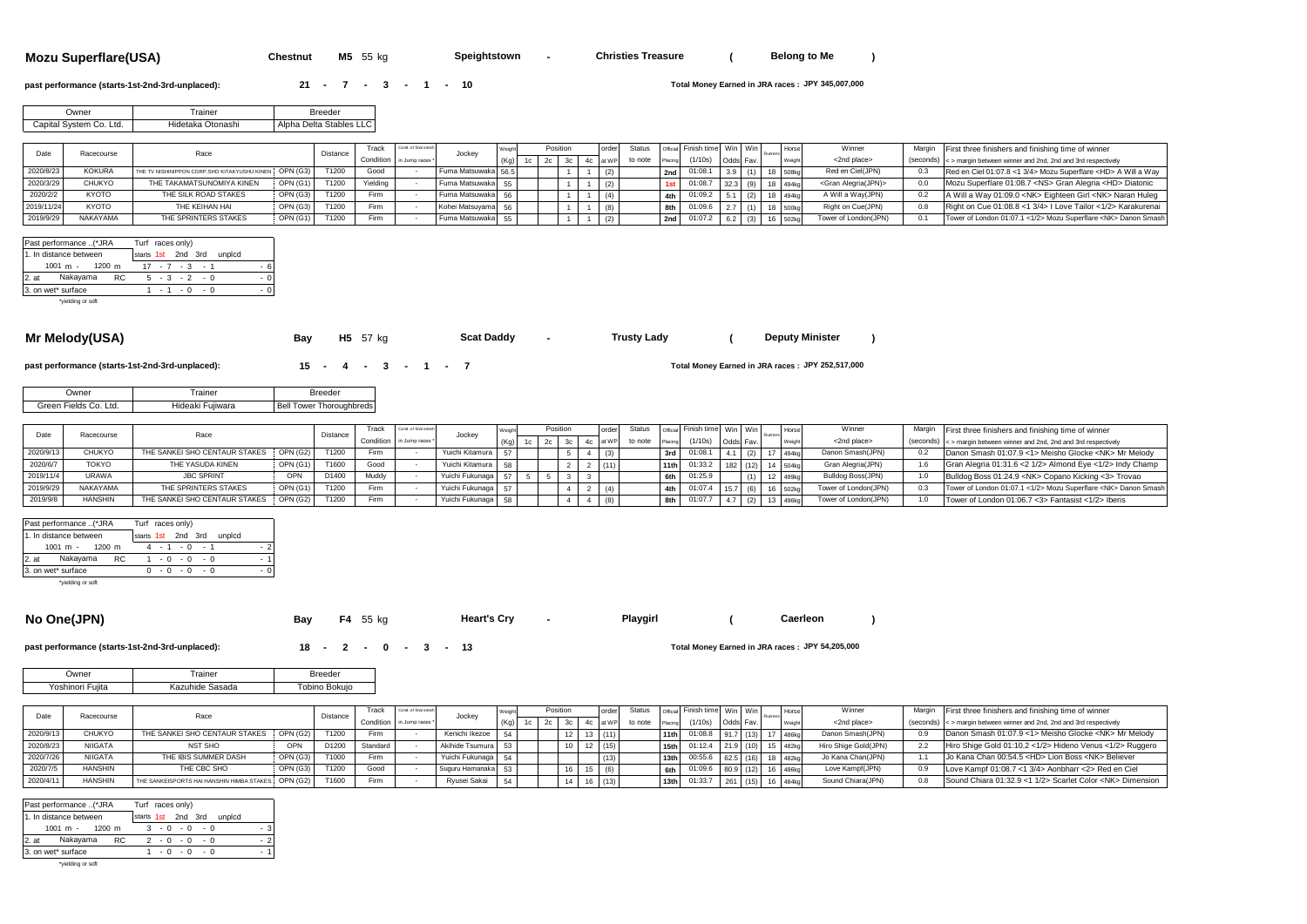**Mozu Superflare(USA) Chestnut M5** 55 kg **- ( )**

**Speightstown** -

**Deputy Minister** 

#### **past performance (starts-1st-2nd-3rd-unplaced): <br><b>21 - 7 - 3 - 1 - 10**

Total Money Earned in JRA races: JPY 345,007,000

| Jwner                   | rainer            | Breeder                 |
|-------------------------|-------------------|-------------------------|
| Capital Svstem Co. Ltd. | Hidetaka Otonashi | Alpha Delta Stables LLC |

|            | Racecourse    | Race                                                   | Distance | Track     | Cond. of final street | Jocke               |  | Position |  | order |         |         | official Finish time   Win   Win |           |  |                   | Winner                        |      | Margin First three finishers and finishing time of winner             |
|------------|---------------|--------------------------------------------------------|----------|-----------|-----------------------|---------------------|--|----------|--|-------|---------|---------|----------------------------------|-----------|--|-------------------|-------------------------------|------|-----------------------------------------------------------------------|
|            |               |                                                        |          | Condition | in Jump races *       |                     |  |          |  | at WP | to note | Placing | (1/10s)                          | Odds Fav. |  |                   | <2nd place>                   |      | (seconds) < > margin between winner and 2nd, 2nd and 3rd respectively |
| 2020/8/23  | <b>KOKURA</b> | THE TV NISHINIPPON CORP. SHO KITAKYUSHU KINEN OPN (G3) | T1200    | Good      |                       | Fuma Matsuwaka 56.5 |  |          |  |       |         | 2nd     | 01:08.                           |           |  | 18 508kg          | Red en Ciel(JPN)              | -0.3 | Red en Ciel 01:07.8 <1 3/4> Mozu Superflare <hd> A Will a Way</hd>    |
| 2020/3/29  | <b>CHUKYO</b> | OPN (G1)<br>THE TAKAMATSUNOMIYA KINEN                  | T1200    | Yielding  |                       | Fuma Matsuwaka 55   |  |          |  |       |         |         | 01:08.7                          |           |  |                   | <gran alegria(jpn)=""></gran> | 0.0  | Mozu Superflare 01:08.7 <ns> Gran Alegria <hd> Diatonic</hd></ns>     |
| 2020/2/2   | <b>KYOTO</b>  | OPN (G3)<br>THE SILK ROAD STAKES                       | T1200    | Firm      |                       | Fuma Matsuwaka 56   |  |          |  |       |         | 4th     | 01:09.2                          |           |  | 18 494kg          | A Will a Wav(JPN)             | 0.2  | A Will a Way 01:09.0 <nk> Eighteen Girl <nk> Naran Huleg</nk></nk>    |
| 2019/11/24 | <b>KYOTO</b>  | OPN (G3)<br>THE KEIHAN HAI                             | T1200    | Firm      |                       | Kohei Matsuyama 56  |  |          |  |       |         | 8th     | 01:09.6                          |           |  | 8 500kg           | Right on Cue(JPN)             |      | Right on Cue 01:08.8 <1 3/4> I Love Tailor <1/2> Karakurenai          |
| 2019/9/29  | NAKAYAMA      | OPN (G1)<br>THE SPRINTERS STAKES                       | T1200    | Firm      |                       | Fuma Matsuwaka 55   |  |          |  |       |         | 2nd     | 01:07.2                          |           |  | 502k <sub>0</sub> | Tower of London(JPN)          | 0.1  | Tower of London 01:07.1 <1/2> Mozu Superflare <nk> Danon Smash</nk>   |

**Christies Treasure**

| Past performance (*JRA            |     | Turf races only)   |             |  |                  |        |     |  |
|-----------------------------------|-----|--------------------|-------------|--|------------------|--------|-----|--|
| 1. In distance between            |     | starts 1st 2nd 3rd |             |  |                  | unpicd |     |  |
| $1001 \text{ m} - 1200 \text{ m}$ |     |                    |             |  | $17 - 7 - 3 - 1$ |        | - 6 |  |
| 2. at Nakayama                    | RC. |                    |             |  | $5 - 3 - 2 - 0$  |        | - 0 |  |
| 3. on wet* surface                |     |                    | $1 - 1 - 0$ |  | $-0$             |        | - 0 |  |
| *yielding or soft                 |     |                    |             |  |                  |        |     |  |

# **Mr Melody(USA) Bay** H5 57 kg **Cat Daddy -** Trusty Lady (Deputy Minister )

**Scat Daddy**

**past performance (starts-1st-2nd-3rd-unplaced): <b>15 - 4 - 3 - 1 - 7** 

# Total Money Earned in JRA races: JPY 252,517,000

| Owner                 | Frainer          | <b>Breeder</b>                  |
|-----------------------|------------------|---------------------------------|
| Green Fields Co. Ltd. | Hideaki Fujiwara | <b>Bell Tower Thoroughbreds</b> |

|           | Racecourse    | Race                          |                 | Distance | Track       | Cond. of final stree      | Jocke <sup>®</sup> |  | Position |  | Status  |         | official Finish time Win Win |            | <b>Hors</b> | Winner               | Margin | First three finishers and finishing time of winner                    |
|-----------|---------------|-------------------------------|-----------------|----------|-------------|---------------------------|--------------------|--|----------|--|---------|---------|------------------------------|------------|-------------|----------------------|--------|-----------------------------------------------------------------------|
|           |               |                               |                 |          |             | Condition in Jump races * |                    |  |          |  | to note | Placing | (1/10s)                      | Odds Fay   |             | <2nd place>          |        | (seconds) < > margin between winner and 2nd, 2nd and 3rd respectively |
| 2020/9/13 | <b>CHUKYO</b> | THE SANKEI SHO CENTAUR STAKES | OPN (G2)        | T1200    | Firm        |                           | Yuichi Kitamura 57 |  |          |  |         |         | 01:08.                       |            |             | Danon Smash(JPN)     |        | Danon Smash 01:07.9 <1> Meisho Glocke <nk> Mr Melody</nk>             |
|           | <b>TOKYO</b>  | THE YASUDA KINEN              | <b>OPN (G1)</b> | T1600    | Good        |                           | Yuichi Kitamura 58 |  |          |  |         | 11th    | 01:33.2                      | $182$ (12) | 14 504kc    | Gran Alegria(JPN)    |        | Gran Alegria 01:31.6 < 2 1/2> Almond Eye < 1/2> Indy Champ            |
| 2019/11/4 | URAWA         | <b>JBC SPRINT</b>             |                 | D1400    | Muddy       |                           | Yuichi Fukunaga 57 |  |          |  |         |         | 01:25.9                      |            |             | Bulldog Boss(JPN)    |        | Bulldog Boss 01:24.9 <nk> Copano Kicking &lt;3&gt; Trovao</nk>        |
| 2019/9/29 | NAKAYAMA      | THE SPRINTERS STAKES          | OPN (G1)        | T1200    | Firm        |                           | Yuichi Fukunaga 57 |  |          |  |         |         | 01:07.4                      |            | 16 502kg    | Tower of London(JPN) |        | Tower of London 01:07.1 <1/2> Mozu Superflare <nk> Danon Smash</nk>   |
| 2019/9/8  | <b>HANSH</b>  | THE SANKEI SHO CENTAUR STAKES | <b>OPN (G2)</b> | T1200    | <b>Firm</b> |                           | Yuichi Fukunaga 58 |  |          |  |         | 8th     | 01:07.7                      |            | 13 496kg    | Tower of London(JPN) |        | Tower of London 01:06.7 <3> Fantasist <1/2> Iberis                    |

| starts 1st 2nd 3rd<br>1. In distance between<br>unpicd<br>$1001 \text{ m} - 1200 \text{ m}$<br>$4 - 1 - 0 - 1$<br>Nakayama<br>2. at<br>RC<br>$1 - 0 - 0 - 0$ | Past performance (*JRA | Turf races only) |  |
|--------------------------------------------------------------------------------------------------------------------------------------------------------------|------------------------|------------------|--|
|                                                                                                                                                              |                        |                  |  |
|                                                                                                                                                              |                        |                  |  |
|                                                                                                                                                              |                        |                  |  |
|                                                                                                                                                              | 3. on wet* surface     | $-0 - 0 - 0$     |  |

\*yielding or soft

**No One(JPN) Bay F4** 55 kg **- ( )**

**Heart's Cry Playgirl** 

**past performance (starts-1st-2nd-3rd-unplaced):**  $\qquad \qquad$  **<b>18 - 2 - 0 - 3 - 13** 

Total Money Earned in JRA races: JPY 54,205,000

**Caerleon**

| <b>Jwner</b>     | rainer          | <b>Breeder</b> |
|------------------|-----------------|----------------|
| 'oshinori Fujita | Kazuhide Sasada | ľobino Bokuio  |

|           | Racecourse     | Race                                               |          | Distance | Track                   | Cond. of final strech | Jocke              |  | Positio | order | Status  |                  | official Finish time Win Win |          |            | Hors <sup>®</sup> | Winner               | Margin | First three finishers and finishing time of winner                    |
|-----------|----------------|----------------------------------------------------|----------|----------|-------------------------|-----------------------|--------------------|--|---------|-------|---------|------------------|------------------------------|----------|------------|-------------------|----------------------|--------|-----------------------------------------------------------------------|
|           |                |                                                    |          |          | Condition in Jump races |                       |                    |  |         |       | to note | Placing          | (1/10s)                      | Odds Fav |            |                   | <2nd place>          |        | (seconds) < > margin between winner and 2nd, 2nd and 3rd respectively |
| 2020/9/13 | CHUKYO         | THE SANKEI SHO CENTAUR STAKES                      | OPN(G2)  | T1200    | Firm                    |                       | Kenichi Ikezoe 54  |  |         | (11)  |         | 11th             | $01:08.8$ 91.7 (13)          |          |            | 7 486k            | Danon Smash(JPN)     |        | Danon Smash 01:07.9 <1> Meisho Glocke <nk> Mr Melody</nk>             |
| 2020/8/23 | <b>NIIGATA</b> | <b>NST SHO</b>                                     | OPN      | D1200    | Standard                |                       | Akihide Tsumura 53 |  |         | (15)  |         | 15 <sub>th</sub> | $01:12.4$ 21.9 (10)          |          |            |                   | Hiro Shige Gold(JPN) |        | Hiro Shige Gold 01:10.2 <1/2> Hideno Venus <1/2> Ruggero              |
| 2020/7/26 | <b>NIIGATA</b> | THE IBIS SUMMER DASH                               | OPN(G3)  | T1000    | Firm                    |                       | Yuichi Fukunaga 54 |  |         | (13)  |         | 13th             | 00:55.6 62.5 (16)            |          |            | 482kg             | Jo Kana Chan(JPN)    |        | Jo Kana Chan 00:54.5 <hd> Lion Boss <nk> Believer</nk></hd>           |
| 2020/7/5  | <b>HANSHIN</b> | THE CBC SHO                                        | OPN (G3) | T1200    | Good                    |                       | Suguru Hamanaka 53 |  |         | (6)   |         |                  | 01:09.6 80.9 (12)            |          |            | 486k              | Love Kampf(JPN)      |        | Love Kampf 01:08.7 <1 3/4> Aonbharr <2> Red en Ciel                   |
| 2020/4/11 | <b>HANSHII</b> | THE SANKEISPORTS HAI HANSHIN HIMBA STAKES OPN (G2) |          | T1600    | Firm                    |                       | Ryusei Sakai       |  |         | (13)  |         | 13 <sub>th</sub> | 01:33.7                      |          | $261$ (15) | 484k              | Sound Chiara(JPN)    |        | Sound Chiara 01:32.9 <1 1/2> Scarlet Color <nk> Dimension</nk>        |

| Past performance (*JRA     | Turf races only) |      |                 |          |                           |     |
|----------------------------|------------------|------|-----------------|----------|---------------------------|-----|
| 1. In distance between     |                  |      |                 |          | starts 1st 2nd 3rd unplcd |     |
| 1001 m - 1200 m            |                  |      | $3 - 0 - 0 - 0$ |          |                           | - 3 |
| Nakayama<br>$2.$ at<br>RC. |                  |      | $2 - 0 - 0$     | $-0$     |                           | - 2 |
| 3. on wet* surface         |                  | $-0$ |                 | $-0 - 0$ |                           |     |
|                            |                  |      |                 |          |                           |     |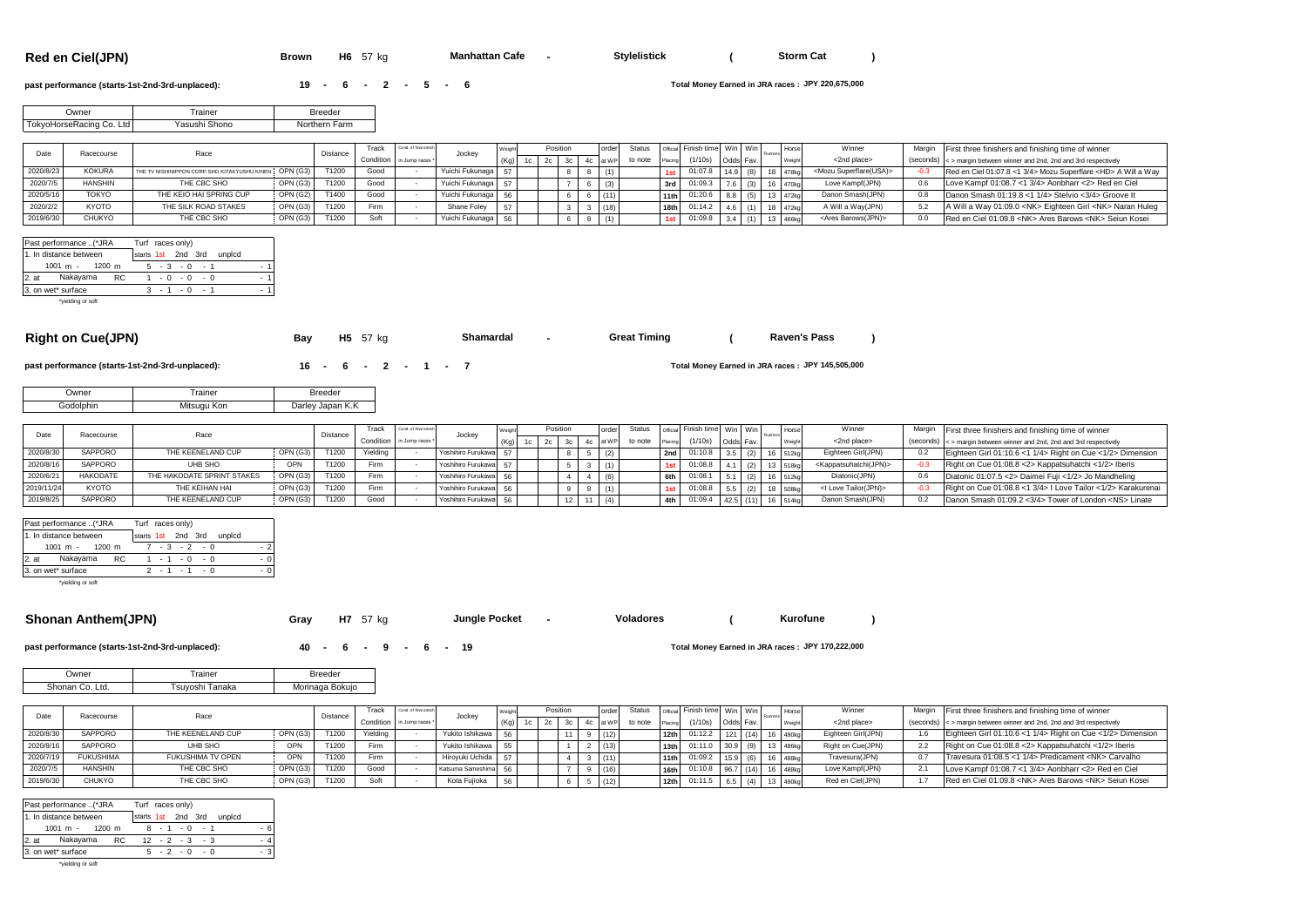**Red en Ciel(JPN) Brown H6** 57 kg **Manhattan Cafe -** Stylelistick (Storm Cat )

**Manhattan Cafe •** 

#### **past performance (starts-1st-2nd-3rd-unplaced): <b>19 - 6 - 2 - 5 - 6**

**JPY 220,675,000**

| )wner                                      | rainer | sreeder          |
|--------------------------------------------|--------|------------------|
| Ltd I<br>Co.<br>Racing<br>Inreak.<br>⊶okyo | Shono  | Farm<br>Northern |

|           | Racecourse     | Race                                                   |          | Distance | rack | Cond, of final stree      | Jocke              |  | Position |  |         |      | die Finish time Win Win |      | Runne    | Winner                           | Margin First three finishers and finishing time of winner                     |
|-----------|----------------|--------------------------------------------------------|----------|----------|------|---------------------------|--------------------|--|----------|--|---------|------|-------------------------|------|----------|----------------------------------|-------------------------------------------------------------------------------|
|           |                |                                                        |          |          |      | Condition in Jump races * |                    |  |          |  | to note |      |                         |      |          | <2nd place>                      | $(s$ econds) $\leq$ > margin between winner and 2nd, 2nd and 3rd respectively |
| 2020/8/23 | <b>KOKURA</b>  | THE TV NISHINIPPON CORP. SHO KITAKYUSHU KINEN OPN (G3) |          | T1200    | Good |                           | Yuichi Fukunaga 57 |  |          |  |         |      | ገ1:07.8                 | 14.9 | 18 478k  | <mozu superflare(usa)=""></mozu> | Red en Ciel 01:07.8 <1 3/4> Mozu Superflare <hd> A Will a Way</hd>            |
|           | <b>HANSHIN</b> | THE CBC SHO                                            | OPN (G3) | T1200    | Good |                           | Yuichi Fukunaga    |  |          |  |         | 3rd  | 01:09.3                 |      | 16 470kg | Love Kampf(JPN)                  | Love Kampf 01:08.7 <1 3/4> Aonbharr <2> Red en Ciel                           |
| 2020/5/16 | <b>TOKYO</b>   | THE KEIO HAI SPRING CUP                                | OPN (G2) | T1400    | Good |                           | Yuichi Fukunaga 56 |  |          |  |         | 11th | 01:20.6                 |      | 13 472kg | Danon Smash(JPN)                 | Danon Smash 01:19.8 <1 1/4> Stelvio <3/4> Groove It                           |
| 2020/2/2  | <b>KYOTO</b>   | THE SILK ROAD STAKES                                   | OPN(G3)  | T1200    | Firm |                           | Shane Foley        |  |          |  |         |      | 01:14.2                 |      | 3 472kg  | A Will a Way(JPN)                | A Will a Way 01:09.0 < NK> Eighteen Girl < NK> Naran Huleg                    |
|           | <b>CHUKYO</b>  | THE CBC SHO                                            | OPN (G3) | T1200    | Sof  |                           | Yuichi Fukunaga 56 |  |          |  |         |      | 91:09.8                 |      |          | <ares barows(jpn)=""></ares>     | Red en Ciel 01:09.8 <nk> Ares Barows <nk> Seiun Kosei</nk></nk>               |

|         | Past performance (*JRA |     | Turf races only)   |     |             |      |        |     |
|---------|------------------------|-----|--------------------|-----|-------------|------|--------|-----|
|         | 1. In distance between |     | starts 1st 2nd 3rd |     |             |      | unpicd |     |
|         | $1001 m - 1200 m$      |     |                    |     | $5 - 3 - 0$ | $-1$ |        | - 1 |
| $2.$ at | Nakayama               | RC. |                    |     | $-0 - 0$    | - 0  |        | - 1 |
|         | 3. on wet* surface     |     |                    | - 1 | $-0$        | - 1  |        | - 1 |
|         | *yielding or soft      |     |                    |     |             |      |        |     |

| ight on Cuel IPN) |  |
|-------------------|--|

**Right on Cue(JPN) Bay H5** 57 kg **Shamardal -** Great Timing ( Raven's Pass ) **Shamardal Great Times** 

**past performance (starts-1st-2nd-3rd-unplaced): <b>16 - 6 - 2 - 1 - 7** 

Owner Trainer Trainer Breeder Godolphin Mitsugu Kon Darley Japan K.K

| Date       | Racecourse      |                            |          | Distance | Track    | Cond. of final strect     |                    |                |  | order | Status  |         | Jofficial Finish time   Win   Win |           |  | Hors | Winner                                      | Margin First three finishers and finishing time of winner            |
|------------|-----------------|----------------------------|----------|----------|----------|---------------------------|--------------------|----------------|--|-------|---------|---------|-----------------------------------|-----------|--|------|---------------------------------------------|----------------------------------------------------------------------|
|            |                 | Race                       |          |          |          | Condition in Jump races * | Jockey             | 1 <sup>c</sup> |  |       | to note | Placing | (1/10s)                           | Odds Fav  |  |      | <2nd place>                                 | (seconds) <> margin between winner and 2nd, 2nd and 3rd respectively |
| 2020/8/3   | SAPPORO         | THE KEENELAND CUP          | OPN (G3) | T1200    | Yielding |                           | Yoshihiro Furukawa |                |  |       |         |         | 2nd 01:10.8                       | $3.5$ (2) |  |      | Eighteen Girl(JPN)                          | Eighteen Girl 01:10.6 <1 1/4> Right on Cue <1/2> Dimension           |
| 2020/8/1   | <b>SAPPORO</b>  | UHB SHO                    | OPN      | T1200    | Firm     |                           | Yoshihiro Furukawa |                |  |       |         |         | 01:08.8                           |           |  |      | <kappatsuhatchi(jpn)></kappatsuhatchi(jpn)> | Right on Cue 01:08.8 <2> Kappatsuhatchi <1/2> Iberis                 |
| 2020/6/    | <b>HAKODATE</b> | THE HAKODATE SPRINT STAKES | OPN (G3) | T1200    | Firm     |                           | Yoshihiro Furukawa |                |  | (6)   |         |         | 01:08.                            |           |  |      | Diatonic(JPN)                               | Diatonic 01:07.5 <2> Daimei Fuji <1/2> Jo Mandheling                 |
| 2019/11/24 | <b>KYOTO</b>    | THE KEIHAN HAI             | OPN (G3) | T1200    | Firm     |                           | Yoshihiro Furukawa |                |  |       |         |         | 01:08.8                           |           |  |      | <i love="" tailor(jpn)=""></i>              | Right on Cue 01:08.8 <1 3/4> I Love Tailor <1/2> Karakurenai         |
| 2019/8/25  | SAPPORO         | THE KEENELAND CUP          | OPN (G3) | T1200    | Good     |                           | Yoshihiro Furukawa |                |  |       |         | 4th     | 01:09.4                           | 42.5 (11) |  | R4AU | Danon Smash(JPN)                            | Danon Smash 01:09.2 <3/4> Tower of London <ns> Linate</ns>           |

| Past performance (*JRA            | Turf races only)             |     |
|-----------------------------------|------------------------------|-----|
| 1. In distance between            | starts 1st 2nd 3rd<br>unpicd |     |
| $1001 \text{ m} - 1200 \text{ m}$ | $-3$ $-2$ $-0$               |     |
| 2. at Nakayama<br>RC              | $1 - 1 - 0 - 0$              | - 0 |
| 3. on wet* surface                | $2 - 1 - 1 - 0$              |     |
|                                   |                              |     |

\*yielding or soft

# **Shonan Anthem(JPN) Gray** H7 57 kg **-** Jungle Pocket - Voladores (Kurofune )

**Jungle Pocket -**

**JPY 145,505,000**

**Kurofune**

**past performance (starts-1st-2nd-3rd-unplaced): <br>
<b>40 - 6 - 9 - 6 - 19** 

Total Money Earned in JRA races: JPY 170,222,000

| <b>Jwner</b>          | rainer            | Breeder         |
|-----------------------|-------------------|-----------------|
| Shonan<br>Ltd.<br>∸Co | Tanaka<br>suyoshi | Morinaga Bokujo |

|           | Racecourse       | Race              |          | Distance | rack     | Cond. of final strech    | Jockey             |      |       |    |      |         |                  | Official Finish time   Win   Win |             |     | Horse             | Winner             | Margin | First three finishers and finishing time of winner                    |
|-----------|------------------|-------------------|----------|----------|----------|--------------------------|--------------------|------|-------|----|------|---------|------------------|----------------------------------|-------------|-----|-------------------|--------------------|--------|-----------------------------------------------------------------------|
|           |                  |                   |          |          |          | Condition in Jump races* |                    | (Ka) | 1 c I |    |      | to note |                  | (1/10s)                          | Odds Fav.   |     |                   | <2nd place>        |        | (seconds) < > margin between winner and 2nd, 2nd and 3rd respectively |
| 2020/8/30 | <b>SAPPORO</b>   | THE KEENELAND CUP | OPN (G3) | T1200    | Yielding |                          | Yukito Ishikawa 56 |      |       | 11 | (12) |         | 12 <sub>th</sub> | 01:12.2                          | (14)        |     | 490kg             | Eighteen Girl(JPN) |        | Eighteen Girl 01:10.6 <1 1/4> Right on Cue <1/2> Dimension            |
| 2020/8/   | SAPPORO          | UHB SHO           | OPN      | T1200    | Firm     |                          | Yukito Ishikawa 55 |      |       |    | (13) |         | 13 <sub>th</sub> | 01:11.0                          | 30.9        |     | 486kg             | Right on Cue(JPN)  |        | Right on Cue 01:08.8 <2> Kappatsuhatchi <1/2> Iberis                  |
| 2020/7/   | <b>FUKUSHIMA</b> | FUKUSHIMA TV OPEN | OPN      | T1200    | Firm     |                          | Hirovuki Uchida 5  |      |       |    | (11) |         | 11th             | 01:09.2                          | <b>1159</b> | (6) | 488kg             | Travesura(JPN)     |        | Travesura 01:08.5 <1 1/4> Predicament <nk> Carvalho</nk>              |
| 2020/7/   | <b>HANSHIN</b>   | THE CBC SHO       | OPN (G3) | T1200    | Good     |                          | Katsuma Sameshima  |      |       |    | (16) |         | 16th             | 01:10.8                          | $96.7$ (14) |     | 488kc             | Love Kampf(JPN)    |        | Love Kampf 01:08.7 <1 3/4> Aonbharr <2> Red en Ciel                   |
|           | CHUKYO           | THE CBC SHO       | OPN (G3) | T1200    | Soft     |                          | Kota Fuijoka       |      |       |    | (12) |         | 12th             | 01:11.5                          |             | (4) | 490 <sub>kg</sub> | Red en Ciel(JPN)   |        | Red en Ciel 01:09.8 <nk> Ares Barows <nk> Seiun Kosei</nk></nk>       |

| Past performance (*JRA | Turf races only)          |
|------------------------|---------------------------|
| 1. In distance between | starts 1st 2nd 3rd unplcd |
| $1001 m - 1200 m$      | - 6<br>$8 - 1 - 0 - 1$    |
| 2. at Nakayama RC      | $12 - 2 - 3 - 3$<br>4     |
| 3. on wet* surface     | $5 - 2 - 0 - 0$<br>- 3    |
|                        |                           |

\*yielding or soft